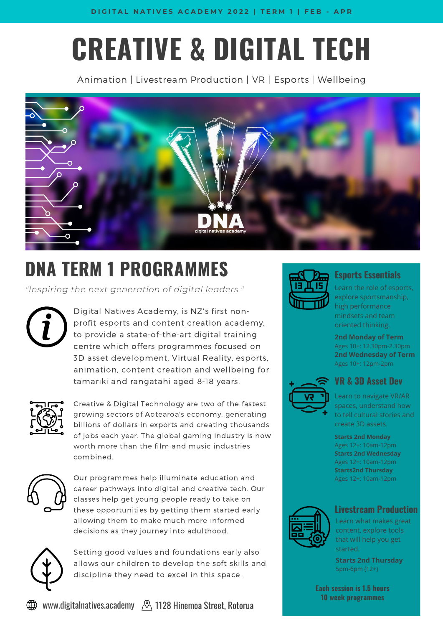# **CREATIVE & DIGITAL TECH**

Animation | Livestream Production | VR | Esports | Wellbeing



## **DNA TERM 1 PROGRAMMES**

*"Inspiring the next generation of digital leaders."*

Digital Natives Academy, is NZ's first nonprofit esports and content creation academy, to provide a state-of-the-art digital training centre which offers programmes focused on 3D asset development, Virtual Reality, esports, animation, content creation and wellbeing for tamariki and rangatahi aged 8-18 years.



Creative & Digital Technology are two of the fastest growing sectors of Aotearoa's economy, generating billions of dollars in exports and creating thousands of jobs each year. The global gaming industry is now worth more than the film and music industries combined.



Our programmes help illuminate education and career pathways into digital and creative tech. Our classes help get young people ready to take on these opportunities by getting them started early allowing them to make much more informed decisions as they journey into adulthood.



Setting good values and foundations early also allows our children to develop the soft skills and discipline they need to excel in this space.



#### **Esports Essentials**

Learn the role of esports, explore sportsmanship, high performance mindsets and team oriented thinking.

**2nd Monday of Term** Ages 10+: 12.30pm-2.30pm **2nd Wednesday of Term** Ages 10+: 12pm-2pm



#### **VR & 3D Asset Dev**

Learn to navigate VR/AR spaces, understand how to tell cultural stories and create 3D assets.

**Starts 2nd Monday** Ages 12+: 10am-12pm **Starts 2nd Wednesday** Ages 12+: 10am-12pm **Starts2nd Thursday** Ages 12+: 10am-12pm



#### **Livestream Production**

Learn what makes great content, explore tools that will help you get started.

**Starts 2nd Thursday** 5pm-6pm (12+)

**Each session is 1.5 hours 10 week programmes**

Www.digitalnatives.academy  $\sqrt{2}$  1128 Hinemoa Street, Rotorua